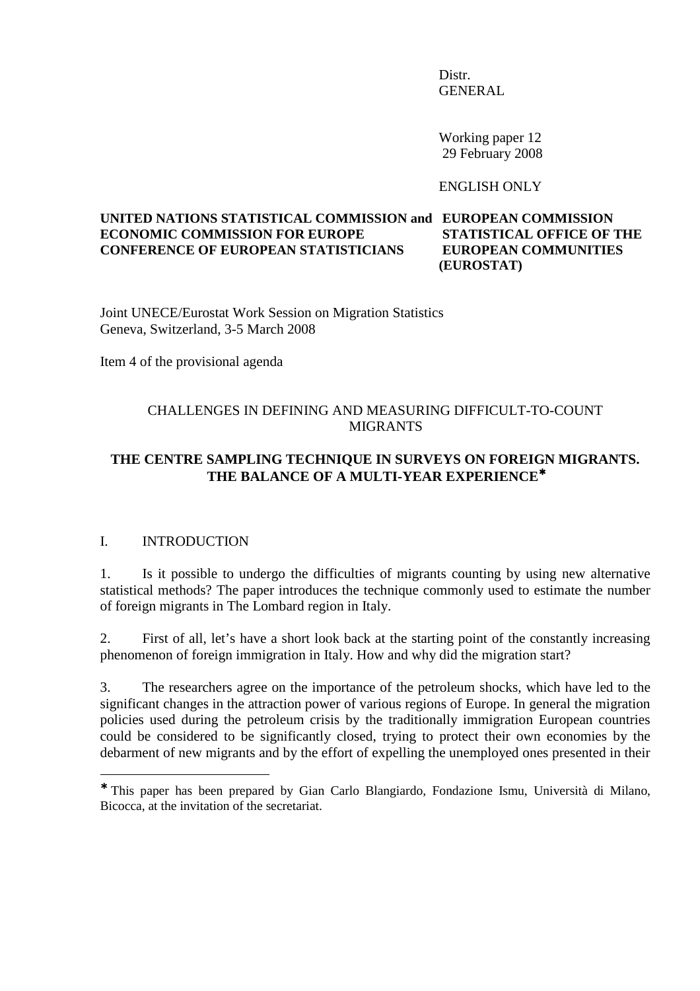**Distr.** GENERAL

> Working paper 12 29 February 2008

ENGLISH ONLY

#### **UNITED NATIONS STATISTICAL COMMISSION and EUROPEAN COMMISSION ECONOMIC COMMISSION FOR EUROPE STATISTICAL OFFICE OF THE CONFERENCE OF EUROPEAN STATISTICIANS EUROPEAN COMMUNITIES (EUROSTAT)**

Joint UNECE/Eurostat Work Session on Migration Statistics Geneva, Switzerland, 3-5 March 2008

Item 4 of the provisional agenda

# CHALLENGES IN DEFINING AND MEASURING DIFFICULT-TO-COUNT MIGRANTS

# **THE CENTRE SAMPLING TECHNIQUE IN SURVEYS ON FOREIGN MIGRANTS. THE BALANCE OF A MULTI-YEAR EXPERIENCE**<sup>∗</sup>

#### I. INTRODUCTION

 $\overline{a}$ 

1. Is it possible to undergo the difficulties of migrants counting by using new alternative statistical methods? The paper introduces the technique commonly used to estimate the number of foreign migrants in The Lombard region in Italy.

2. First of all, let's have a short look back at the starting point of the constantly increasing phenomenon of foreign immigration in Italy. How and why did the migration start?

3. The researchers agree on the importance of the petroleum shocks, which have led to the significant changes in the attraction power of various regions of Europe. In general the migration policies used during the petroleum crisis by the traditionally immigration European countries could be considered to be significantly closed, trying to protect their own economies by the debarment of new migrants and by the effort of expelling the unemployed ones presented in their

<sup>∗</sup> This paper has been prepared by Gian Carlo Blangiardo, Fondazione Ismu, Università di Milano, Bicocca, at the invitation of the secretariat.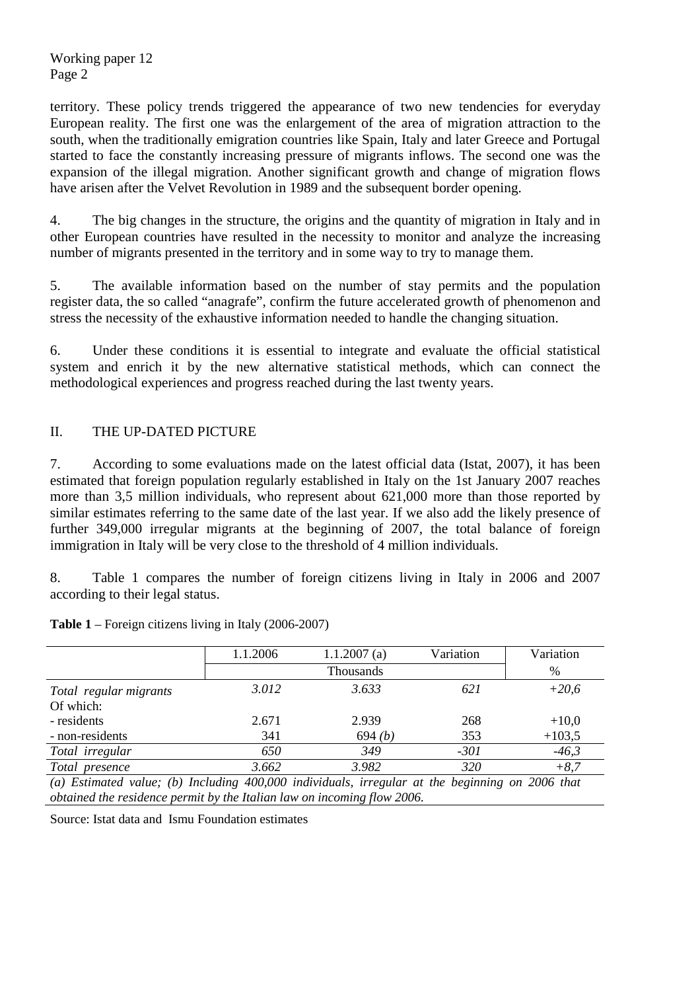territory. These policy trends triggered the appearance of two new tendencies for everyday European reality. The first one was the enlargement of the area of migration attraction to the south, when the traditionally emigration countries like Spain, Italy and later Greece and Portugal started to face the constantly increasing pressure of migrants inflows. The second one was the expansion of the illegal migration. Another significant growth and change of migration flows have arisen after the Velvet Revolution in 1989 and the subsequent border opening.

4. The big changes in the structure, the origins and the quantity of migration in Italy and in other European countries have resulted in the necessity to monitor and analyze the increasing number of migrants presented in the territory and in some way to try to manage them.

5. The available information based on the number of stay permits and the population register data, the so called "anagrafe", confirm the future accelerated growth of phenomenon and stress the necessity of the exhaustive information needed to handle the changing situation.

6. Under these conditions it is essential to integrate and evaluate the official statistical system and enrich it by the new alternative statistical methods, which can connect the methodological experiences and progress reached during the last twenty years.

# II. THE UP-DATED PICTURE

7. According to some evaluations made on the latest official data (Istat, 2007), it has been estimated that foreign population regularly established in Italy on the 1st January 2007 reaches more than 3,5 million individuals, who represent about 621,000 more than those reported by similar estimates referring to the same date of the last year. If we also add the likely presence of further 349,000 irregular migrants at the beginning of 2007, the total balance of foreign immigration in Italy will be very close to the threshold of 4 million individuals.

8. Table 1 compares the number of foreign citizens living in Italy in 2006 and 2007 according to their legal status.

|                                                                                                 | 1.1.2006         | 1.1.2007(a) | Variation | Variation |  |  |
|-------------------------------------------------------------------------------------------------|------------------|-------------|-----------|-----------|--|--|
|                                                                                                 | <b>Thousands</b> |             |           |           |  |  |
| Total regular migrants                                                                          | 3.012            | 3.633       | 621       | $+20,6$   |  |  |
| Of which:                                                                                       |                  |             |           |           |  |  |
| - residents                                                                                     | 2.671            | 2.939       | 268       | $+10,0$   |  |  |
| - non-residents                                                                                 | 341              | 694(b)      | 353       | $+103,5$  |  |  |
| Total irregular                                                                                 | 650              | 349         | $-301$    | $-46,3$   |  |  |
| Total presence                                                                                  | 3.662            | 3.982       | 320       | $+8,7$    |  |  |
| (a) Estimated value; (b) Including 400,000 individuals, irregular at the beginning on 2006 that |                  |             |           |           |  |  |
| obtained the residence permit by the Italian law on incoming flow 2006.                         |                  |             |           |           |  |  |

**Table 1** – Foreign citizens living in Italy (2006-2007)

Source: Istat data and Ismu Foundation estimates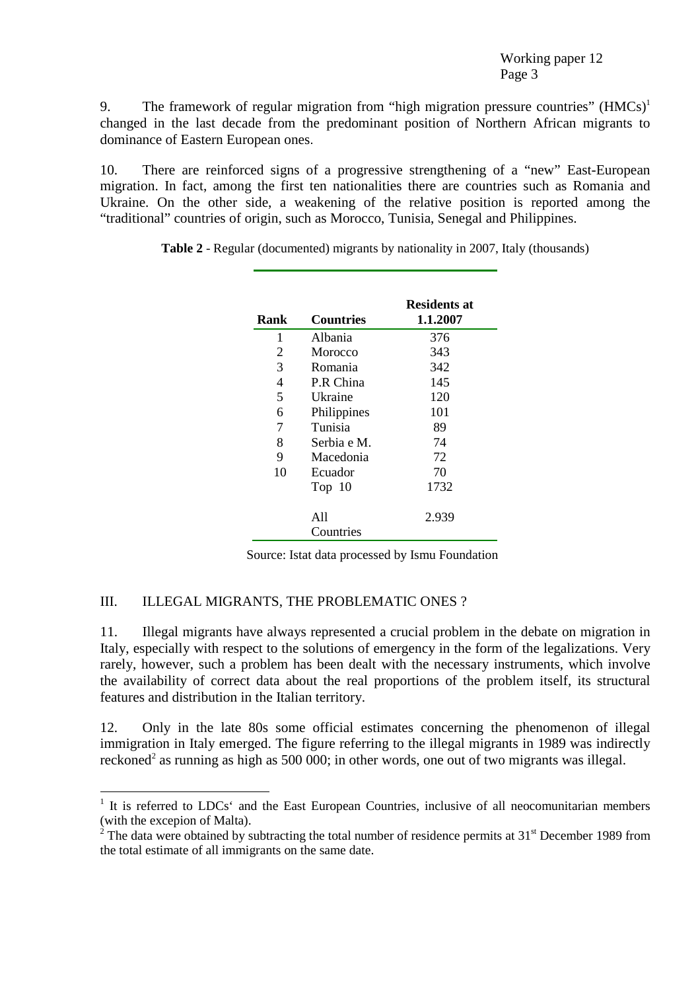9. The framework of regular migration from "high migration pressure countries"  $(HMCs)^1$ changed in the last decade from the predominant position of Northern African migrants to dominance of Eastern European ones.

10. There are reinforced signs of a progressive strengthening of a "new" East-European migration. In fact, among the first ten nationalities there are countries such as Romania and Ukraine. On the other side, a weakening of the relative position is reported among the "traditional" countries of origin, such as Morocco, Tunisia, Senegal and Philippines.

| Rank | Countries   | Residents at<br>1.1.2007 |
|------|-------------|--------------------------|
| 1    | Albania     | 376                      |
| 2    | Morocco     | 343                      |
| 3    | Romania     | 342                      |
| 4    | P.R China   | 145                      |
| 5    | Ukraine     | 120                      |
| 6    | Philippines | 101                      |
| 7    | Tunisia     | 89                       |
| 8    | Serbia e M. | 74                       |
| 9    | Macedonia   | 72                       |
| 10   | Ecuador     | 70                       |
|      | Top 10      | 1732                     |
|      | A11         | 2.939                    |
|      | Countries   |                          |

**Table 2** - Regular (documented) migrants by nationality in 2007, Italy (thousands)

Source: Istat data processed by Ismu Foundation

# III. ILLEGAL MIGRANTS, THE PROBLEMATIC ONES ?

 $\overline{a}$ 

11. Illegal migrants have always represented a crucial problem in the debate on migration in Italy, especially with respect to the solutions of emergency in the form of the legalizations. Very rarely, however, such a problem has been dealt with the necessary instruments, which involve the availability of correct data about the real proportions of the problem itself, its structural features and distribution in the Italian territory.

12. Only in the late 80s some official estimates concerning the phenomenon of illegal immigration in Italy emerged. The figure referring to the illegal migrants in 1989 was indirectly reckoned<sup>2</sup> as running as high as 500 000; in other words, one out of two migrants was illegal.

<sup>&</sup>lt;sup>1</sup> It is referred to LDCs<sup>\*</sup> and the East European Countries, inclusive of all neocomunitarian members (with the excepion of Malta).

<sup>&</sup>lt;sup>2</sup> The data were obtained by subtracting the total number of residence permits at 31<sup>st</sup> December 1989 from the total estimate of all immigrants on the same date.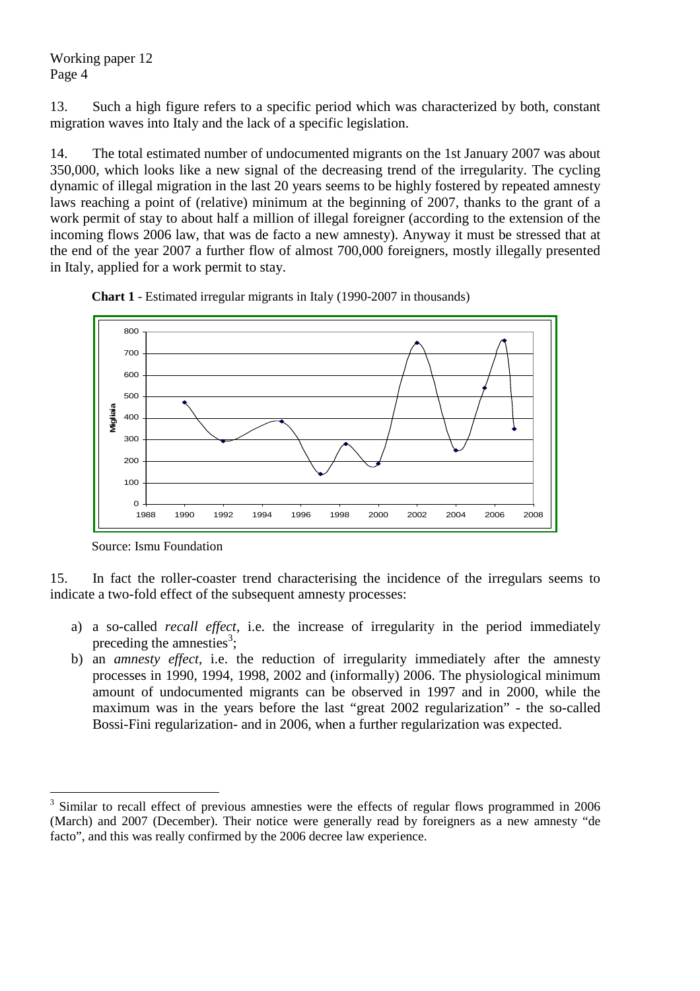13. Such a high figure refers to a specific period which was characterized by both, constant migration waves into Italy and the lack of a specific legislation.

14. The total estimated number of undocumented migrants on the 1st January 2007 was about 350,000, which looks like a new signal of the decreasing trend of the irregularity. The cycling dynamic of illegal migration in the last 20 years seems to be highly fostered by repeated amnesty laws reaching a point of (relative) minimum at the beginning of 2007, thanks to the grant of a work permit of stay to about half a million of illegal foreigner (according to the extension of the incoming flows 2006 law, that was de facto a new amnesty). Anyway it must be stressed that at the end of the year 2007 a further flow of almost 700,000 foreigners, mostly illegally presented in Italy, applied for a work permit to stay.



**Chart 1** - Estimated irregular migrants in Italy (1990-2007 in thousands)

 $\overline{a}$ 

15. In fact the roller-coaster trend characterising the incidence of the irregulars seems to indicate a two-fold effect of the subsequent amnesty processes:

- a) a so-called *recall effect,* i.e. the increase of irregularity in the period immediately preceding the amnesties<sup>3</sup>;
- b) an *amnesty effect*, i.e. the reduction of irregularity immediately after the amnesty processes in 1990, 1994, 1998, 2002 and (informally) 2006. The physiological minimum amount of undocumented migrants can be observed in 1997 and in 2000, while the maximum was in the years before the last "great 2002 regularization" - the so-called Bossi-Fini regularization- and in 2006, when a further regularization was expected.

Source: Ismu Foundation

<sup>3</sup> Similar to recall effect of previous amnesties were the effects of regular flows programmed in 2006 (March) and 2007 (December). Their notice were generally read by foreigners as a new amnesty "de facto", and this was really confirmed by the 2006 decree law experience.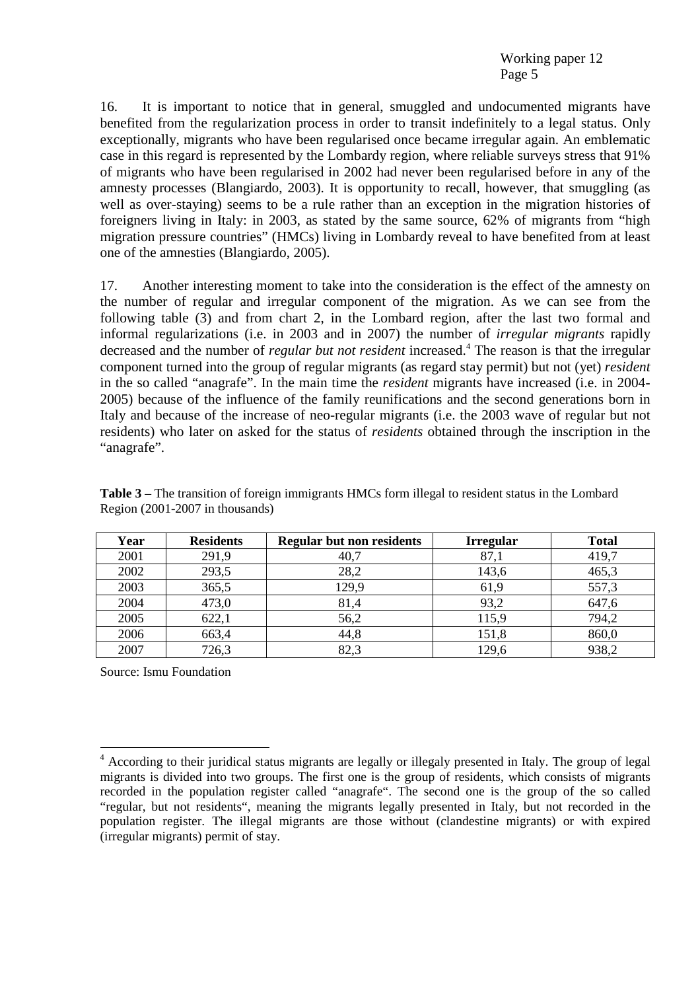16. It is important to notice that in general, smuggled and undocumented migrants have benefited from the regularization process in order to transit indefinitely to a legal status. Only exceptionally, migrants who have been regularised once became irregular again. An emblematic case in this regard is represented by the Lombardy region, where reliable surveys stress that 91% of migrants who have been regularised in 2002 had never been regularised before in any of the amnesty processes (Blangiardo, 2003). It is opportunity to recall, however, that smuggling (as well as over-staying) seems to be a rule rather than an exception in the migration histories of foreigners living in Italy: in 2003, as stated by the same source, 62% of migrants from "high migration pressure countries" (HMCs) living in Lombardy reveal to have benefited from at least one of the amnesties (Blangiardo, 2005).

17. Another interesting moment to take into the consideration is the effect of the amnesty on the number of regular and irregular component of the migration. As we can see from the following table (3) and from chart 2, in the Lombard region, after the last two formal and informal regularizations (i.e. in 2003 and in 2007) the number of *irregular migrants* rapidly decreased and the number of *regular but not resident* increased.<sup>4</sup> The reason is that the irregular component turned into the group of regular migrants (as regard stay permit) but not (yet) *resident* in the so called "anagrafe". In the main time the *resident* migrants have increased (i.e. in 2004- 2005) because of the influence of the family reunifications and the second generations born in Italy and because of the increase of neo-regular migrants (i.e. the 2003 wave of regular but not residents) who later on asked for the status of *residents* obtained through the inscription in the "anagrafe".

| Year | <b>Residents</b> | <b>Regular but non residents</b> | <b>Irregular</b> | <b>Total</b> |
|------|------------------|----------------------------------|------------------|--------------|
| 2001 | 291,9            | 40,7                             | 87,1             | 419,7        |
| 2002 | 293,5            | 28,2                             | 143,6            | 465,3        |
| 2003 | 365,5            | 129,9                            | 61,9             | 557,3        |
| 2004 | 473,0            | 81,4                             | 93,2             | 647,6        |
| 2005 | 622,1            | 56,2                             | 115,9            | 794,2        |
| 2006 | 663,4            | 44,8                             | 151,8            | 860,0        |
| 2007 | 726,3            | 82,3                             | 129,6            | 938,2        |

**Table 3** – The transition of foreign immigrants HMCs form illegal to resident status in the Lombard Region (2001-2007 in thousands)

Source: Ismu Foundation

 $\overline{a}$ <sup>4</sup> According to their juridical status migrants are legally or illegaly presented in Italy. The group of legal migrants is divided into two groups. The first one is the group of residents, which consists of migrants recorded in the population register called "anagrafe". The second one is the group of the so called "regular, but not residents", meaning the migrants legally presented in Italy, but not recorded in the population register. The illegal migrants are those without (clandestine migrants) or with expired (irregular migrants) permit of stay.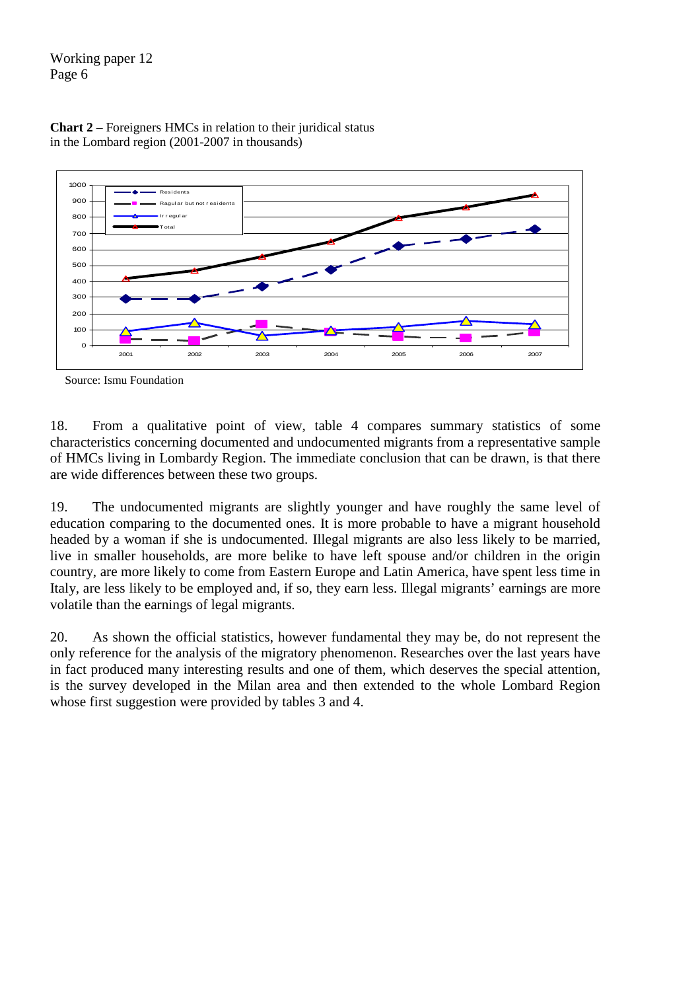



18. From a qualitative point of view, table 4 compares summary statistics of some characteristics concerning documented and undocumented migrants from a representative sample of HMCs living in Lombardy Region. The immediate conclusion that can be drawn, is that there are wide differences between these two groups.

19. The undocumented migrants are slightly younger and have roughly the same level of education comparing to the documented ones. It is more probable to have a migrant household headed by a woman if she is undocumented. Illegal migrants are also less likely to be married, live in smaller households, are more belike to have left spouse and/or children in the origin country, are more likely to come from Eastern Europe and Latin America, have spent less time in Italy, are less likely to be employed and, if so, they earn less. Illegal migrants' earnings are more volatile than the earnings of legal migrants.

20. As shown the official statistics, however fundamental they may be, do not represent the only reference for the analysis of the migratory phenomenon. Researches over the last years have in fact produced many interesting results and one of them, which deserves the special attention, is the survey developed in the Milan area and then extended to the whole Lombard Region whose first suggestion were provided by tables 3 and 4.

Source: Ismu Foundation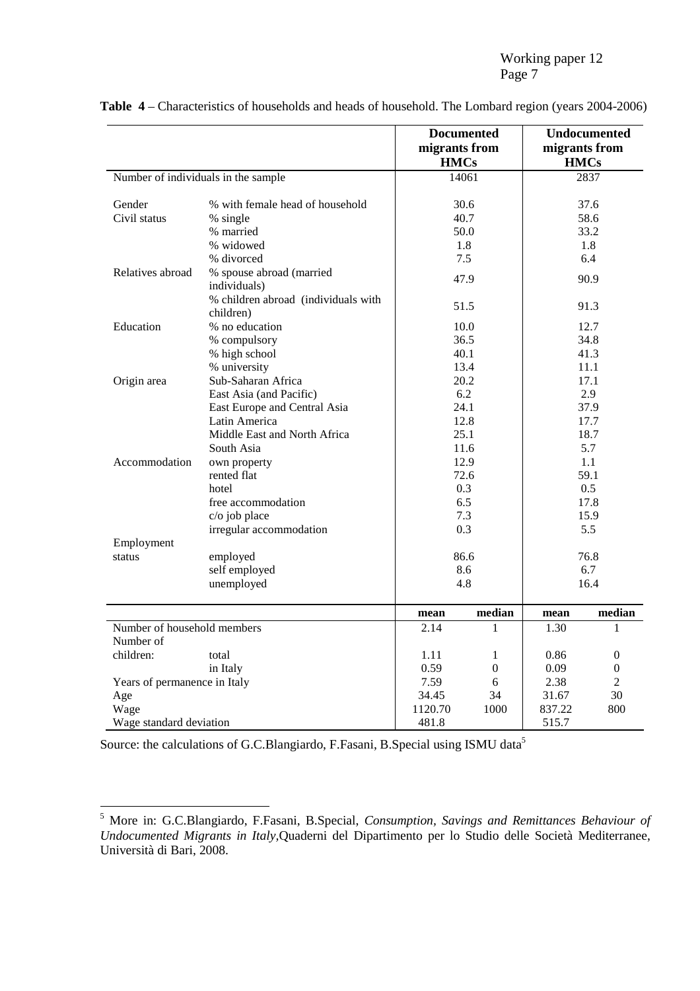|                                     |                                                  | migrants from<br><b>HMCs</b> | <b>Documented</b> | migrants from<br><b>HMCs</b> | Undocumented   |
|-------------------------------------|--------------------------------------------------|------------------------------|-------------------|------------------------------|----------------|
| Number of individuals in the sample |                                                  |                              | 14061             |                              | 2837           |
| Gender                              | % with female head of household                  |                              | 30.6              |                              | 37.6           |
| Civil status                        | % single                                         |                              | 40.7              |                              | 58.6           |
|                                     | % married                                        |                              | 50.0              |                              | 33.2           |
|                                     | % widowed                                        |                              | 1.8               |                              | 1.8            |
|                                     | % divorced                                       |                              | 7.5               |                              | 6.4            |
| Relatives abroad                    | % spouse abroad (married<br>individuals)         |                              | 47.9              |                              | 90.9           |
|                                     | % children abroad (individuals with<br>children) |                              | 51.5              |                              | 91.3           |
| Education                           | % no education                                   |                              | 10.0              |                              | 12.7           |
|                                     | % compulsory                                     |                              | 36.5              |                              | 34.8           |
|                                     | % high school                                    |                              | 40.1              |                              | 41.3           |
|                                     | % university                                     |                              | 13.4              | 11.1                         |                |
| Origin area                         | Sub-Saharan Africa                               |                              | 20.2              | 17.1                         |                |
|                                     | East Asia (and Pacific)                          |                              | 6.2               | 2.9                          |                |
|                                     | East Europe and Central Asia                     |                              | 24.1              |                              | 37.9           |
|                                     | Latin America                                    |                              | 12.8              |                              | 17.7           |
|                                     | Middle East and North Africa                     |                              | 25.1              |                              | 18.7           |
|                                     | South Asia                                       |                              | 11.6              | 5.7                          |                |
| Accommodation                       | own property                                     |                              | 12.9              |                              | 1.1            |
|                                     | rented flat                                      |                              | 72.6              |                              | 59.1           |
|                                     | hotel                                            |                              | 0.3               |                              | 0.5            |
|                                     | free accommodation                               |                              | 6.5               | 17.8                         |                |
|                                     | c/o job place                                    |                              | 7.3               | 15.9                         |                |
|                                     | irregular accommodation                          |                              | 0.3               | 5.5                          |                |
| Employment                          |                                                  |                              |                   |                              |                |
| status                              | employed                                         |                              | 86.6              | 76.8                         |                |
|                                     | self employed                                    |                              | 8.6               | 6.7                          |                |
|                                     | unemployed                                       | 4.8                          |                   |                              | 16.4           |
|                                     |                                                  | mean                         | median            | mean                         | median         |
| Number of household members         |                                                  | 2.14                         | 1                 | 1.30                         | 1              |
| Number of                           |                                                  |                              |                   |                              |                |
| children:                           | total                                            | 1.11                         | 1                 | 0.86                         | $\theta$       |
|                                     | in Italy                                         | 0.59<br>7.59                 | $\theta$          | 0.09                         | $\theta$       |
|                                     | Years of permanence in Italy                     |                              | 6                 | 2.38                         | $\mathfrak{D}$ |
| Age                                 |                                                  | 34.45                        | 34                | 31.67                        | 30             |
| Wage                                |                                                  | 1120.70                      | 1000              | 837.22                       | 800            |
| Wage standard deviation             | 481.8                                            |                              | 515.7             |                              |                |

**Table 4** – Characteristics of households and heads of household. The Lombard region (years 2004-2006)

Source: the calculations of G.C.Blangiardo, F.Fasani, B.Special using ISMU data<sup>5</sup>

 5 More in: G.C.Blangiardo, F.Fasani, B.Special, *Consumption, Savings and Remittances Behaviour of Undocumented Migrants in Italy,*Quaderni del Dipartimento per lo Studio delle Società Mediterranee, Università di Bari, 2008.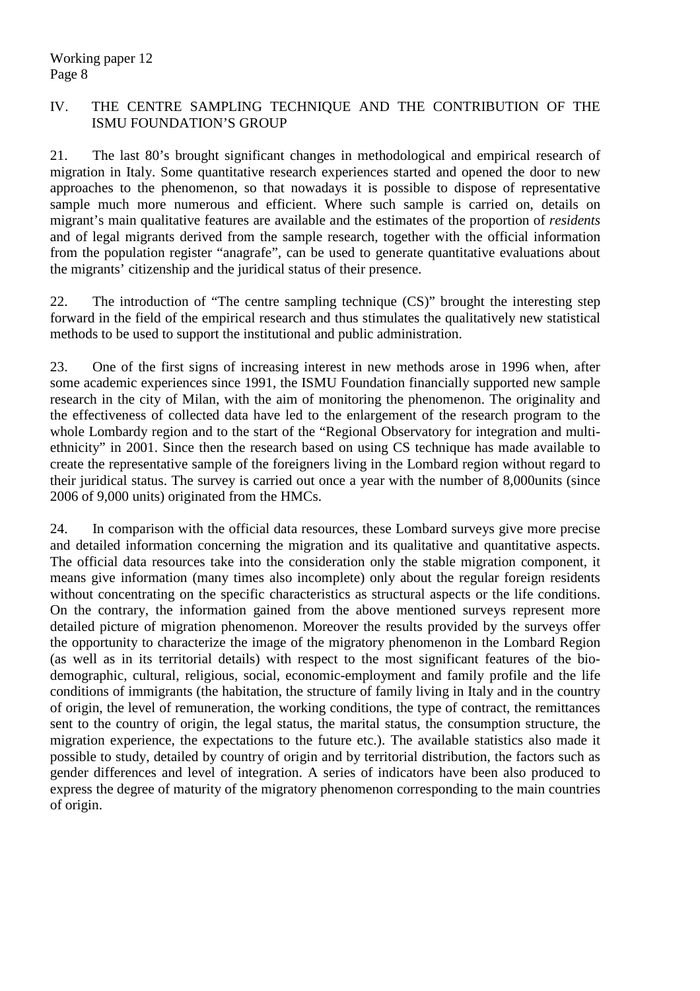## IV. THE CENTRE SAMPLING TECHNIQUE AND THE CONTRIBUTION OF THE ISMU FOUNDATION'S GROUP

21. The last 80's brought significant changes in methodological and empirical research of migration in Italy. Some quantitative research experiences started and opened the door to new approaches to the phenomenon, so that nowadays it is possible to dispose of representative sample much more numerous and efficient. Where such sample is carried on, details on migrant's main qualitative features are available and the estimates of the proportion of *residents* and of legal migrants derived from the sample research, together with the official information from the population register "anagrafe", can be used to generate quantitative evaluations about the migrants' citizenship and the juridical status of their presence.

22. The introduction of "The centre sampling technique (CS)" brought the interesting step forward in the field of the empirical research and thus stimulates the qualitatively new statistical methods to be used to support the institutional and public administration.

23. One of the first signs of increasing interest in new methods arose in 1996 when, after some academic experiences since 1991, the ISMU Foundation financially supported new sample research in the city of Milan, with the aim of monitoring the phenomenon. The originality and the effectiveness of collected data have led to the enlargement of the research program to the whole Lombardy region and to the start of the "Regional Observatory for integration and multiethnicity" in 2001. Since then the research based on using CS technique has made available to create the representative sample of the foreigners living in the Lombard region without regard to their juridical status. The survey is carried out once a year with the number of 8,000units (since 2006 of 9,000 units) originated from the HMCs.

24. In comparison with the official data resources, these Lombard surveys give more precise and detailed information concerning the migration and its qualitative and quantitative aspects. The official data resources take into the consideration only the stable migration component, it means give information (many times also incomplete) only about the regular foreign residents without concentrating on the specific characteristics as structural aspects or the life conditions. On the contrary, the information gained from the above mentioned surveys represent more detailed picture of migration phenomenon. Moreover the results provided by the surveys offer the opportunity to characterize the image of the migratory phenomenon in the Lombard Region (as well as in its territorial details) with respect to the most significant features of the biodemographic, cultural, religious, social, economic-employment and family profile and the life conditions of immigrants (the habitation, the structure of family living in Italy and in the country of origin, the level of remuneration, the working conditions, the type of contract, the remittances sent to the country of origin, the legal status, the marital status, the consumption structure, the migration experience, the expectations to the future etc.). The available statistics also made it possible to study, detailed by country of origin and by territorial distribution, the factors such as gender differences and level of integration. A series of indicators have been also produced to express the degree of maturity of the migratory phenomenon corresponding to the main countries of origin.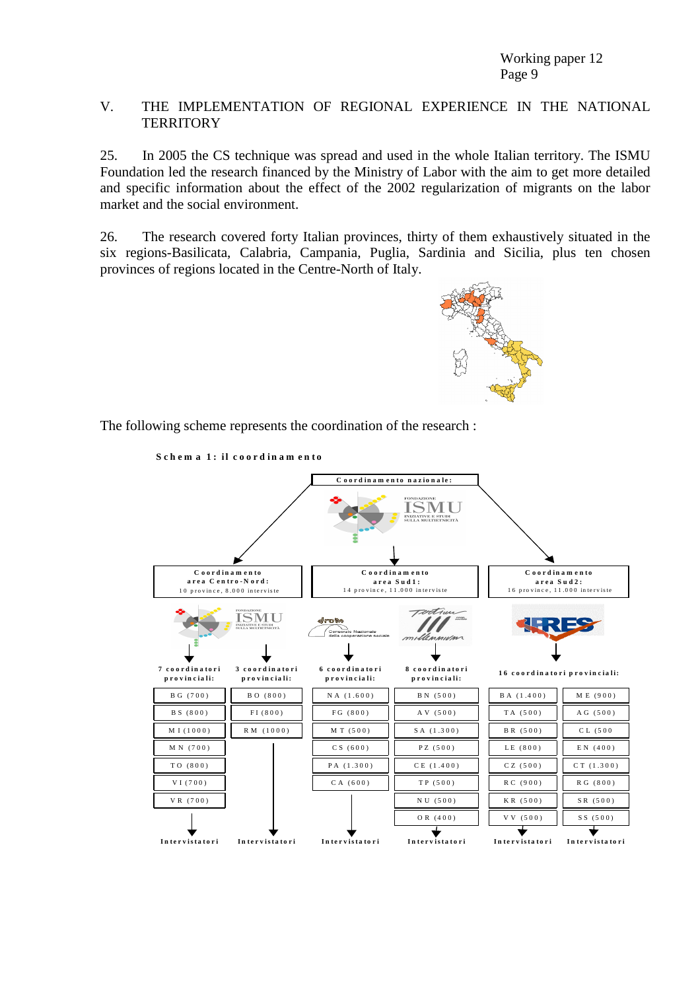#### V. THE IMPLEMENTATION OF REGIONAL EXPERIENCE IN THE NATIONAL **TERRITORY**

25. In 2005 the CS technique was spread and used in the whole Italian territory. The ISMU Foundation led the research financed by the Ministry of Labor with the aim to get more detailed and specific information about the effect of the 2002 regularization of migrants on the labor market and the social environment.

26. The research covered forty Italian provinces, thirty of them exhaustively situated in the six regions-Basilicata, Calabria, Campania, Puglia, Sardinia and Sicilia, plus ten chosen provinces of regions located in the Centre-North of Italy.



The following scheme represents the coordination of the research :

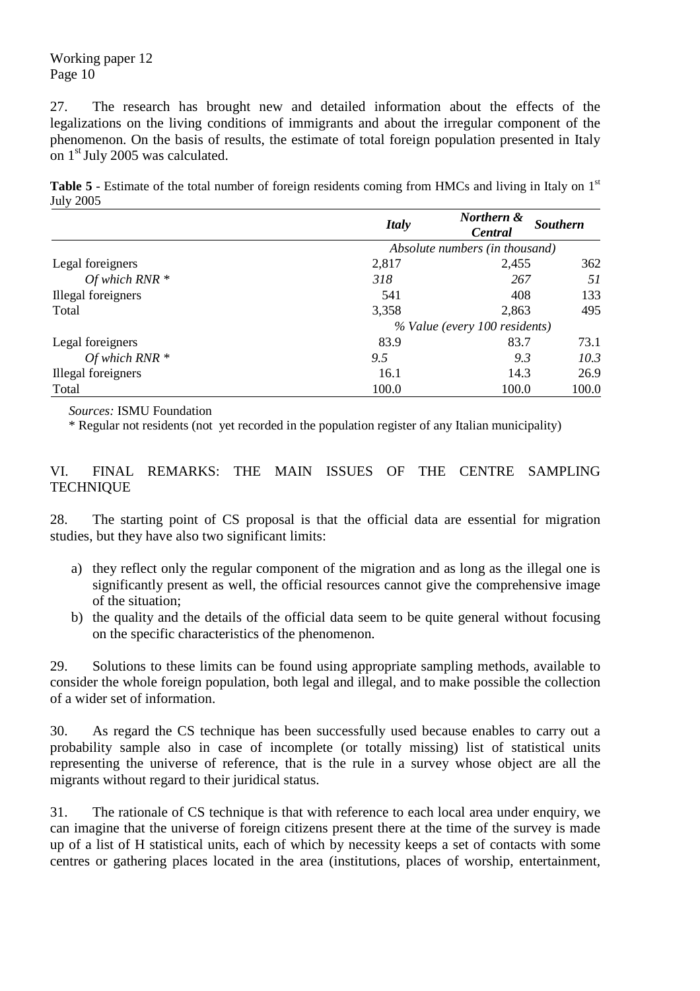27. The research has brought new and detailed information about the effects of the legalizations on the living conditions of immigrants and about the irregular component of the phenomenon. On the basis of results, the estimate of total foreign population presented in Italy on 1st July 2005 was calculated.

Table 5 - Estimate of the total number of foreign residents coming from HMCs and living in Italy on 1<sup>st</sup> July 2005

|                    | <b>Italy</b>                   | Northern &<br><b>Southern</b><br><b>Central</b> |       |
|--------------------|--------------------------------|-------------------------------------------------|-------|
|                    | Absolute numbers (in thousand) |                                                 |       |
| Legal foreigners   | 2,817                          | 2,455                                           | 362   |
| Of which $RNR *$   | 318                            | 267                                             | 51    |
| Illegal foreigners | 541                            | 408                                             | 133   |
| Total              | 3,358                          | 2,863                                           | 495   |
|                    |                                | % Value (every 100 residents)                   |       |
| Legal foreigners   | 83.9                           | 83.7                                            | 73.1  |
| Of which RNR $*$   | 9.5                            | 9.3                                             | 10.3  |
| Illegal foreigners | 16.1                           | 14.3                                            | 26.9  |
| Total              | 100.0                          | 100.0                                           | 100.0 |

*Sources:* ISMU Foundation

\* Regular not residents (not yet recorded in the population register of any Italian municipality)

## VI. FINAL REMARKS: THE MAIN ISSUES OF THE CENTRE SAMPLING **TECHNIQUE**

28. The starting point of CS proposal is that the official data are essential for migration studies, but they have also two significant limits:

- a) they reflect only the regular component of the migration and as long as the illegal one is significantly present as well, the official resources cannot give the comprehensive image of the situation;
- b) the quality and the details of the official data seem to be quite general without focusing on the specific characteristics of the phenomenon.

29. Solutions to these limits can be found using appropriate sampling methods, available to consider the whole foreign population, both legal and illegal, and to make possible the collection of a wider set of information.

30. As regard the CS technique has been successfully used because enables to carry out a probability sample also in case of incomplete (or totally missing) list of statistical units representing the universe of reference, that is the rule in a survey whose object are all the migrants without regard to their juridical status.

31. The rationale of CS technique is that with reference to each local area under enquiry, we can imagine that the universe of foreign citizens present there at the time of the survey is made up of a list of H statistical units, each of which by necessity keeps a set of contacts with some centres or gathering places located in the area (institutions, places of worship, entertainment,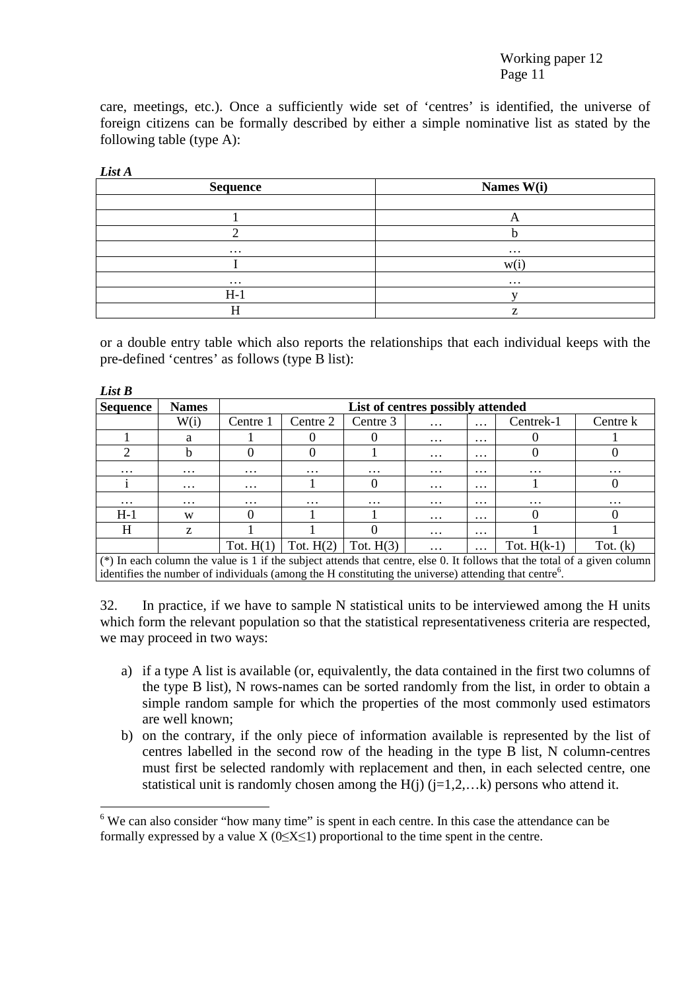care, meetings, etc.). Once a sufficiently wide set of 'centres' is identified, the universe of foreign citizens can be formally described by either a simple nominative list as stated by the following table (type A):

 $\overline{a}$ 

| Sequence | Names W(i) |
|----------|------------|
|          |            |
|          |            |
|          |            |
| $\cdots$ | $\cdots$   |
|          | W(1)       |
| $\cdots$ | $\cdots$   |
| H-1      |            |
|          |            |

or a double entry table which also reports the relationships that each individual keeps with the pre-defined 'centres' as follows (type B list):

| List B                                                                                                                    |              |                                   |             |             |          |           |               |            |
|---------------------------------------------------------------------------------------------------------------------------|--------------|-----------------------------------|-------------|-------------|----------|-----------|---------------|------------|
| <b>Sequence</b>                                                                                                           | <b>Names</b> | List of centres possibly attended |             |             |          |           |               |            |
|                                                                                                                           | W(i)         | Centre 1                          | Centre 2    | Centre 3    | $\cdots$ | $\cdots$  | Centrek-1     | Centre k   |
|                                                                                                                           | a            |                                   |             |             | $\cdots$ | $\cdots$  |               |            |
| $\overline{2}$                                                                                                            | b            | 0                                 |             |             | $\cdots$ | $\cdots$  | $\theta$      |            |
| $\cdots$                                                                                                                  | $\cdots$     | $\cdots$                          | $\cdots$    | $\cdots$    | $\cdots$ | $\cdots$  | $\cdots$      | $\cdots$   |
|                                                                                                                           | $\cdots$     | $\cdots$                          |             |             | $\cdots$ | $\cdots$  |               |            |
| $\cdots$                                                                                                                  | $\cdots$     | $\cdots$                          | $\cdots$    | $\cdots$    | $\cdots$ | $\cdots$  | $\cdots$      | $\cdots$   |
| $H-1$                                                                                                                     | W            | $\theta$                          |             |             | $\cdots$ | $\ddotsc$ |               |            |
| H                                                                                                                         | Z            |                                   |             |             | $\cdots$ | $\cdots$  |               |            |
|                                                                                                                           |              | Tot. $H(1)$                       | Tot. $H(2)$ | Tot. $H(3)$ | $\cdots$ | $\cdots$  | Tot. $H(k-1)$ | Tot. $(k)$ |
| (*) In each column the value is 1 if the subject attends that centre, else 0. It follows that the total of a given column |              |                                   |             |             |          |           |               |            |
| identifies the number of individuals (among the H constituting the universe) attending that centre <sup>o</sup> .         |              |                                   |             |             |          |           |               |            |

32. In practice, if we have to sample N statistical units to be interviewed among the H units which form the relevant population so that the statistical representativeness criteria are respected, we may proceed in two ways:

- a) if a type A list is available (or, equivalently, the data contained in the first two columns of the type B list), N rows-names can be sorted randomly from the list, in order to obtain a simple random sample for which the properties of the most commonly used estimators are well known;
- b) on the contrary, if the only piece of information available is represented by the list of centres labelled in the second row of the heading in the type B list, N column-centres must first be selected randomly with replacement and then, in each selected centre, one statistical unit is randomly chosen among the  $H(i)$  ( $j=1,2,...k$ ) persons who attend it.

 $6$  We can also consider "how many time" is spent in each centre. In this case the attendance can be formally expressed by a value  $X$  (0≤X≤1) proportional to the time spent in the centre.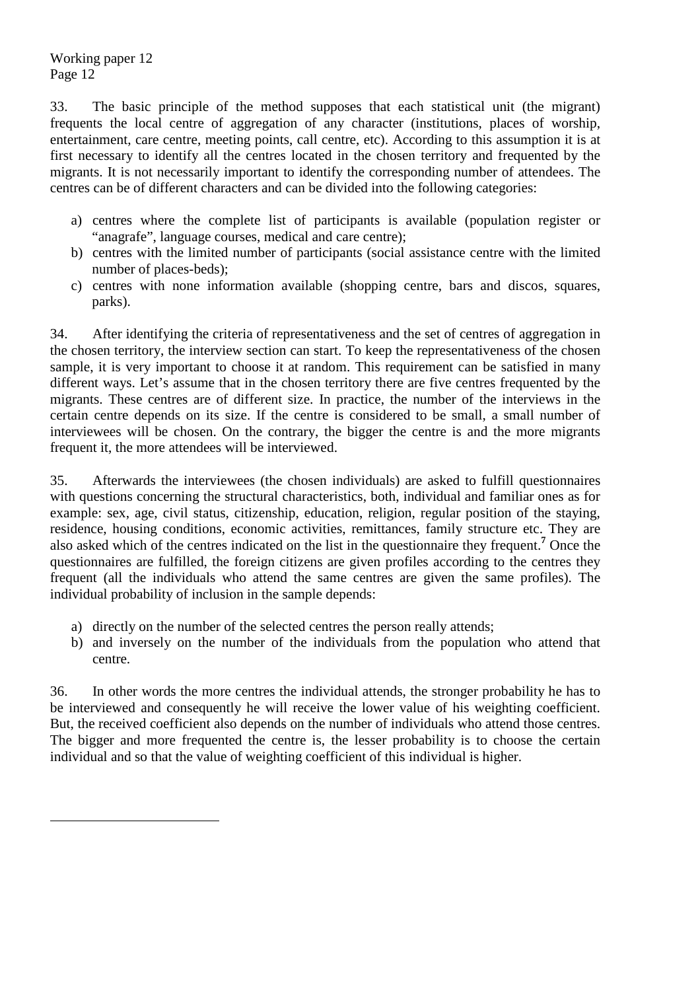$\overline{a}$ 

33. The basic principle of the method supposes that each statistical unit (the migrant) frequents the local centre of aggregation of any character (institutions, places of worship, entertainment, care centre, meeting points, call centre, etc). According to this assumption it is at first necessary to identify all the centres located in the chosen territory and frequented by the migrants. It is not necessarily important to identify the corresponding number of attendees. The centres can be of different characters and can be divided into the following categories:

- a) centres where the complete list of participants is available (population register or "anagrafe", language courses, medical and care centre);
- b) centres with the limited number of participants (social assistance centre with the limited number of places-beds);
- c) centres with none information available (shopping centre, bars and discos, squares, parks).

34. After identifying the criteria of representativeness and the set of centres of aggregation in the chosen territory, the interview section can start. To keep the representativeness of the chosen sample, it is very important to choose it at random. This requirement can be satisfied in many different ways. Let's assume that in the chosen territory there are five centres frequented by the migrants. These centres are of different size. In practice, the number of the interviews in the certain centre depends on its size. If the centre is considered to be small, a small number of interviewees will be chosen. On the contrary, the bigger the centre is and the more migrants frequent it, the more attendees will be interviewed.

35. Afterwards the interviewees (the chosen individuals) are asked to fulfill questionnaires with questions concerning the structural characteristics, both, individual and familiar ones as for example: sex, age, civil status, citizenship, education, religion, regular position of the staying, residence, housing conditions, economic activities, remittances, family structure etc. They are also asked which of the centres indicated on the list in the questionnaire they frequent.**<sup>7</sup>** Once the questionnaires are fulfilled, the foreign citizens are given profiles according to the centres they frequent (all the individuals who attend the same centres are given the same profiles). The individual probability of inclusion in the sample depends:

- a) directly on the number of the selected centres the person really attends;
- b) and inversely on the number of the individuals from the population who attend that centre.

36. In other words the more centres the individual attends, the stronger probability he has to be interviewed and consequently he will receive the lower value of his weighting coefficient. But, the received coefficient also depends on the number of individuals who attend those centres. The bigger and more frequented the centre is, the lesser probability is to choose the certain individual and so that the value of weighting coefficient of this individual is higher.